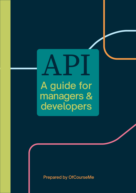# API A guide for managers & developers

Prepared by OfCourseMe

Ofcourseme © 2021 ofcourse.me 1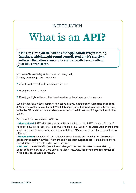### INTRODUCTION

# What is an **API?**

**API is an acronym that stands for Application Programming Interface, which might sound complicated but it's simply a software that allows two applications to talk to each other, just like a translator.** 

You use APIs every day without even knowing that, for very common purposes such as:

- Checking the weather forecasts on Google
- Paying online with Paypal
- Booking a flight with an online travel service such as Expedia or Skyscanner

Well, the last one is less common nowadays, but you get the point. **Someone described APIs as the waiter in a restaurant. The kitchen prepares the food, you enjoy the service, while the API-waiter communicates your order to the kitchen and brings the food to the table.**

**On top of being very simple, APIs are:**

• **Standardized:** REST-APIs like ours are APIs that adhere to the REST standard. You don't need to know the details, only to be aware that **all REST-APIs in the world work in the same way**. Your developers already had to deal with REST-APIs before, hence this time will be no different.

• Documented: as you already know if you are reading this document, **there is always a guide that explains how the APIs work and what their purposes are.** Hence, there are no uncertainties about what can be done and how.

• Secure: if there's an API layer in the middle, your device or browser is never directly exposed to the service you are using and vice versa. Also, **the development lifecycle of APIs is tested, secure and robust.**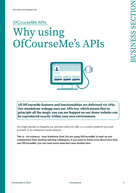# OfCourseMe APIs Why using OfCourseMe's APIs



**All OfCourseMe features and functionalities are delivered via APIs. Our standalone webapp uses our APIs too, which means that in principle all the magic you can see happen on our demo website can be reproduced exactly within your own environment.** 

You might decide to integrate our services within an LMS, or a custom platform you built yourself, or an enterprise social network.

**This is - for instance - how Vodafone, Enel, Eni are using OfCourseMe to beef up and complement their existing learning catalogues. If you want to know more about how they use OfCourseMe, you can read some selected case studies here.**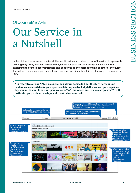# OfCourseMe APIs Our Service in a Nutshell

In the picture below we summarize all the functionalities available on our API service. **It represents an imaginary LMS / learning environment, where for each button / area you have a callout explaining the functionality it triggers and sends you to the corresponding chapter of the guide.** As we'll see, in principle you can call and use each functionality within any learning environment or LMS.

**NB: regardless of our API services, you can always decide to limit the third party online contents made available in your systems, defining a subset of platforms, categories, prices. E.g. you might want to exclude paid courses, YouTube videos and leisure categories. We will do this for you, with no development required on your end.**

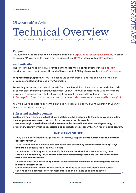## OfCourseMe APIs Technical Overview

Please find below the key basic information in order to get started, for developers

#### **Endpoint**

OfCourseMe APIs are available calling the endpoint **https://api.ofcourse.me/v2.0**. In order to use our API you need to make a server-side call on **HTTPS** protocol with a **GET** method.

#### **Authentication**

The APIs always need a valid API Key to authenticate the calls: you must set the **x-api-key** header and pass a valid value. **If you don't own a valid API Key please contact** [info@ofcourse.me.](mailto:info%40ofcourse.me.?subject=)

**For production purposes** API must be called via server, from IP address pool which should be provided, enabled and trusted by OfCourseMe.

**For testing purposes** you can call our API from any IP and the call can be performed client-side or server-side. Switching to production stage, your API Key will be associated with one or more provided IP addresses: any API call coming from a not whitelisted IP will return this error: **{ "message" : "User is not authorized to access this resource with an explicit deny" }**

You will always be able to perform client-side API calls using our API Configurator with your API Key, even in production stage.

#### **Subset and exclusive content**

Customers might define a subset of our database to be accessible to their employees, i.e. allow their employees to access a portion of courses in our database only.

**Customers might also define exclusive content to be accessible to their employees only, i.e. proprietary content which is accessible and searchable together with or on top of public content.**

#### **IMPORTANT NOTICE:**

• Any action performed through this API will always respect **clients subset/exclusive content agreement with us.**

• Subset and exclusive content a**re computed and secured by authentication with api-keys and IPs** (no action is required by API-user).

• Customers might request us to modify their subsets and exclusive content at any time. **This will be handled by OfCourseMe by means of updating customers API-keys subset and exclusive content settings.**

• **Calls to /courses-search endpoint will always respect client subset, returning only courses included in their subset.** 

Other endpoints will always return attributes related to courses included in their subset. See endpoints documentation for more information on single endpoint behavior.

j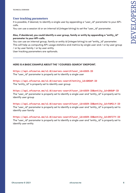#### **User tracking parameters**

It is possible, if desired, to identify a single user by appending a "user\_id" parameter to your APIcalls.

You can use a session id or an internal id (integer/string) to set the "user\_id" parameter.

#### **Also, if desidered, you could identify a user group, family or entity by appending a "entity\_id" parameter to your API-calls.**

You can use an internal group, family or entity id (integer/string) to set "entity\_id" parameter. This will help us computing API-usage statistics and metrics by single user and / or by user group / or by user family / or by user entity.

User tracking parameters are optionals.

#### **HERE IS A BASIC EXAMPLE ABOUT THE "/COURSES-SEARCH" ENDPOINT.**

**https://api.ofcourse.me/v2.0/courses-search?user\_id=USER-ID** The "user\_id" parameter is properly set to identify a single user

**https://api.ofcourse.me/v2.0/courses-search?entity\_id=GROUP-ID** The "entity\_id" is properly set to identify user group

**https://api.ofcourse.me/v2.0/courses-search?user\_id=USER-ID&entity\_id=GROUP-ID** The "user\_id" parameter is properly set to identify a single user and "entity\_id" is properly set to identify user group

**https://api.ofcourse.me/v2.0/courses-search?user\_id=USER-ID&entity\_id=FAMILY-ID** The "user\_id" parameter is properly set to identify a single user and "entity\_id" is properly set to identify user family

**https://api.ofcourse.me/v2.0/courses-search?user\_id=USER-ID&entity\_id=ENTITY-ID** The "user\_id" parameter is properly set to identify a single user and "entity\_id" is properly set to identify user entity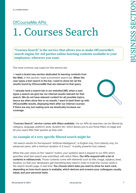## OfCourseMe APIs 1. Courses Search

**"Courses Search" is the service that allows you to make OfCourseMe's search engine for 3rd parties online learning contents available to your employees, wherever you want.**

The most common use cases for this service are:

• **I want a brand new section dedicated to learning contents from the Web.** In this section I want a prominent search bar. **When the user types a text search in the bar, I want to show her all the results found by OfCourseMe that are relevant to that query.**

• **I already have a search bar in our website/LMS, when a user types a search we give her our internal results relevant for that search. We do not have relevant content for all possible topics, hence we often show few or no results. I want to beef them up with OfCourseMe results, displaying them after our internal courses if there are any, but making sure we drastically increase our coverage.**

**"Courses Search" service comes with filters available.** Via our APIs all searches can be filtered by category, language, platform, level, duration etc. which allows you to put those filters on page and let your users filter their queries as they wish.

#### **An example of a very specific filtered search might be:**

"All search results for the keyword "Artificial Intelligence", in English only, from Udacity only, for advanced users, with a minimum duration of 2 hours". A pretty powerful tool, indeed.

When the user clicks on the "search" button, your systems send a request to our APIs which specifies what text search was submitted, with which filters. **Our APIs respond with a list of contents in milliseconds.** Those contents come with elements such as title, image, syllabus, level, duration, so that your developers get everything they need in order to build the course cards in the search results page, in real time. **You choose which data you want to show for each card, depending on how much space is available, which devices and screens your colleagues usually adopt, and your personal taste.**

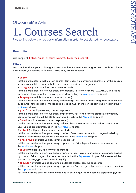# 1. Courses Search

Please find below the key basic information in order to get started, for developers

#### **Description**

#### Call endpoint: **https://api.ofcourse.me/v2.0/courses-search**

#### **Filters**

You can filter down your calls to get a text-search or courses in a category. Here are listed all the parameters you can use to filter your calls, they are all optional:

#### • **query**

set this parameter to make a text-search. Text-search is performed searching for the desired term in course title, course subtitle and course associated categories.

• **category** (multiple values, comma separated)

set this parameter to filter your query by category. Pass one or more ID\_CATEGORY divided by comma. You can get all the categories id by calling the /categories endpoint

• **language** (multiple values, comma separated)

set this parameter to filter your query by language. Pass one or more language-code divided by comma. You can get all the language-codes (two-character codes) value by calling the [/](https://developers.ofcourse.me/doc/v2.0#section-8) [options](https://developers.ofcourse.me/doc/v2.0#section-8) endpoint

• **platform** (multiple values, comma separated)

set this parameter to filter your query by platform. Pass one or more platforms divided by comma. You can get all the platforms value by calling the [/options](https://developers.ofcourse.me/doc/v2.0#section-8) endpoint

• **level** (multiple values, comma separated)

set this parameter to filter your query by level. Pass one or more levels divided by comma. Level values are documented in the [Key Values](https://developers.ofcourse.me/doc/v2.0#section-11) chapter.

• **effort** (multiple values, comma separated)

set this parameter to filter your query by effort. Pass one or more effort ranges divided by comma. Effort range values are documented in the [Key Values](https://developers.ofcourse.me/doc/v2.0#section-11) chapter.

• **price\_type** (multiple values, comma separated)

set this parameter to filter your query by price type. Price type values are documented in the [Key Values](https://developers.ofcourse.me/doc/v2.0#section-11) chapter.

• **price** (multiple values, comma separated)

set this parameter to filter your query by price ranges. Pass one or more price ranges divided by comma. Price range values are documented in the [Key Values](https://developers.ofcourse.me/doc/v2.0#section-11) chapter. Price value will be ignored if price\_type is set only to free ("F").

• **provider** (multiple values contained in double quotes, comma separated)

set this parameter to filter your query by providers. You can get all providers names by calling the [/options](https://developers.ofcourse.me/doc/v2.0#section-8) endpoint.

Pass one or more provider name contained in double quotes and comma separated (syntax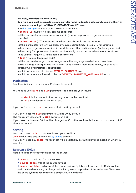example, **provider:"Amazon","Edx"**).

**Be aware you must encapsulate each provider name in double quotes and separate them by comma or you will get an "INVALID-PROVIDER-VALUE" error**.

See [this examples](https://developers.ofcourse.me/doc/v2.0#provider-examples) to understand how to use this filter.

• **course\_id** (multiple values, comma separated)

set this parameter to one or more course\_id (comma separated) to get only courses specified.

• **edited\_after** (UTC timestamp in millisecond. Example 1537793541000)

set this parameter to filter your query by course edited time. Pass a UTC timestamp in milliseconds to get courses edited in our database after this timestamp (including specified millisecond). This parameter is useful to obtain only those courses edited in our database since your last request with the same parameters.

• **lang** (two digit language code)

set this parameter to get course categories in the language needed. You can obtain available languages querying the "option" endpoint with type "translations\_languages" (/ options?type=translations\_languages)

Invalid parameters will raise an **INVALID-PARAMETER** error.

Invalid parameters values will raise an **INVALID-<PARAMETER\_NAME>-VALUE** error.

#### **Pagination**

Result set is limited to maximum 30 elements per call.

You need to use **start** and **size** parameters to paginate your results:

- **start** is the pointer to the starting record in the result set
- **size** is the length of the result set.

If you don't pass the **start** parameter it will be 0 by default.

If you don't pass the **size** parameter it will be 20 by default.

The maximum value for the **size** parameter is 30.

If you pass a value over 30, it will be changed to 30 as the result set is limited to a maximum of 30 elements per call.

#### **Sorting**

You can pass an **order** parameter to sort your result set.

**Order** values are documented in [Key Values](https://developers.ofcourse.me/doc/v2.0#section-11) chapter.

If you don't pass any **order**, the result set will be sorted by default (relevance based on what you searched)

#### **Response Fields**

Here are listed the response fields for the course:

- **course\_id**: unique ID of the course
- **course\_title**: title of the course (string)
- **course\_syllabus**: syllabus of the course (string). Syllabus is truncated at 140 characters and sanitized removing html tags inside it to give you a preview of the entire text. To obtain the entire syllabus you must call a single /course endpoint.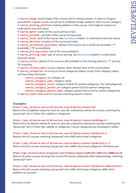• **course\_image**: small image of the course (url) for listing purpose. In case no image is provided for a given course, we will serve a fallback image related to that course's category

• **course\_hosting\_platform**: hosting platform of the course. Call endpoint /options to understand returned values

• **course\_owner**: owner of the course (string array)

- **course provide**r: provider of the course (string array)
- **course level:** level of the course. See [Key Values](https://developers.ofcourse.me/doc/v2.0#section-11) chapter to understand returned values.
- **course\_duration**: duration of the course (minutes)
- **course\_certificate\_available**: defines if the course has a certificate available: "Y" (available) / "N" (unavailable)
- **course\_pricing\_value**: cost of the course (dollars)

**• course pricing type**: type of course pricing. See [Key Values](https://developers.ofcourse.me/doc/v2.0#section-11) chapter to understand returned values.

• **course\_active**: defines if the course is still available on the hosting platform: "Y" (active), "N" (inactive).

• **course\_release\_date**: course\_release\_date: release date of the course (date)

• **course\_categories**: an array of course categories (object array). Each category object will have these attributes:

**course\_category\_id**: category id

**course\_category\_nam**e: category name

**course** category level: category level (0 for parent categories, 1 for subcategories) **course category parent id:** category parent id (0 for parent categories)

**course\_category\_parent\_name**: category parent name (null for parent categories) **• search count:** total count of courses matching search's criteria.

#### **Examples**

#### **https://api.ofcourse.me/v2.0/courses-search?query=Javascript**

Returns first 20 (default values for start=0, size=20, ordered by relevance) courses matching the "Javascript" term in their title, subtitle or categories.

#### **https://api.ofcourse.me/v2.0/courses-search?query=Javascript&lang=it**

Returns first 20 (default values for start=0, size=20, ordered by relevance) courses matching the "Javascript" term in their title, subtitle or categories. Course categories are translated in italian

**https://api.ofcourse.me/v2.0/courses-search?query=Javascript&level=1** Returns first 20 courses matching "Javascript" term AND which level is Beginner

**https://api.ofcourse.me/v2.0/courses-search?query=Javascript&level=1,3** Returns first 20 courses matching "Javascript" term, AND which level is Beginner OR Advanced

**https://api.ofcourse.me/v2.0/courses-search?query=Javascript&order=ED&start=100&size=10** Returns 10 (size) courses starting from record 100 (start), ordered by effort (descending), matching "Javascript" term

**https://api.ofcourse.me/v2.0/courses-search?query=Javascript&level=1&platform=1** Returns first 20 courses matching "Javascript" term AND which level is Beginner AND which platform is Coursera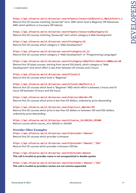**https://api.ofcourse.me/v2.0/courses-search?query=Javascript&level=1,3&platform=1,3** Returns first 20 courses matching "Javascript" term, AND which level is Beginner OR Advanced, AND which platform is Coursera OR Udacity

**https://api.ofcourse.me/v2.0/courses-search?query=Javascript&category=22** Returns first 20 courses matching "Javascript" term which category is Web Development

**https://api.ofcourse.me/v2.0/courses-search?category=22** Returns first 20 courses which category is "Web Development"

**https://api.ofcourse.me/v2.0/courses-search?category=22,23** Returns first 20 courses which category is "Web Development" or "Programming Languages"

**https://api.ofcourse.me/v2.0/courses-search?category=22&effort=1&start=100&size=30** Returns first 30 (size) courses, starting from record 100 (start), which category is "Web Development" and which effort is less than between 20 minutes and 2 hours

**https://api.ofcourse.me/v2.0/courses-search?level=1** Returns first 20 courses which level is "Beginner"

**https://api.ofcourse.me/v2.0/courses-search?level=1&effort=2,3** Returns first 20 courses which level is "Beginner" AND which effort is between 2 hours and 10 hours OR between 10 hours and 100 hours

**https://api.ofcourse.me/v2.0/courses-search?price=1&order=PD** Returns first 20 courses which price is less than 50 dollars, ordered by price descending

**https://api.ofcourse.me/v2.0/courses-search?price=1,3&order=PD** Returns first 20 courses which price is less than 50 dollars or between 100 and 300 dollars, ordered by price descending

**https://api.ofcourse.me/v2.0/courses-search?course\_id=286226,293406** Returns course which course\_id is 286226 or 293406

**Provider Filter Examples https://api.ofcourse.me/v2.0/courses-search?provider="Amazon"** Returns first 20 courses which provider is Amazon

**https://api.ofcourse.me/v2.0/courses-search?provider="Amazon","Edx"** Returns first 20 courses which provider is Amazon OR Edx

**https://api.ofcourse.me/v2.0/courses-search?provider=Amazon This call is invalid as provider name is not encapsulated in double quotes**

**https://api.ofcourse.me/v2.0/courses-search?provider="Amazon";"Edx" This call is invalid as providers names are not comma separated**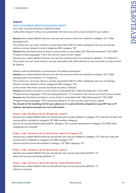#### **Subset**

#### [Learn more about subset and exclusive content](https://developers.ofcourse.me/doc/v2.0#section-3)

Your calls could be limited by a defined subset. Calling this endpoint without any parameter will return you all courses included in your subset.

**Assume** your subset defines that you can see only courses which are related to category "22" ("Web Development").

This means you can never retrieve courses associated ONLY to other categories, but you can always retrieve courses related to other categories AND category "22".

**Assume** also that there exists at least a course which is associated with "Web Development" ("22") AND "Programming Languages" ("23"), this course is part of your subset.

Assume your subset defines that you can see only courses which are related to platform "3" ("Udacity"). This means you can never retrieve courses associated with other platforms, but only those courses served by Udacity.

Subset could be defined by a combination of multiple parameters.

**Assume** your subset defines that you can see only courses which are related to category "22" ("Web Development") and platform "3" ("Udacity").

This means you can never retrieve courses associated ONLY to other categories, but you can always retrieve courses related to other categories AND category "22".

It also means that those courses should be served by "Udacity".

**Assume** that there's at least a course which is associated with "Web Development" ("22") AND "Programming Languages" ("23") served by platform "1" ("Coursera"), this course is not part of your subset. **Assume** also that there's at least a course which is associated with "Web Development" ("22") AND "Programming Languages" ("23") served by platform "3", this course is part of your subset.

#### **You should not do anything to limit your subset, as it is automatically computed on your API-key or IP address. See below example for more information**

#### **https://api.ofcourse.me/v2.0/courses-search**

Assume your subset defines that you should see only courses related to category "22" and exist at least one course which is related to category "22" AND another category, returns all courses directly associated to category "22", courses associated to category "22" AND other categories are included

#### **https://api.ofcourse.me/v2.0/courses-search?category=23**

Assume your subset defines that you should see only courses related to category "22" and exist only one course which is related to category "22" AND category "23", returns only the course associated to category "22" AND category "23"

#### **https://api.ofcourse.me/v2.0/courses-search**

Assume your subset defines that you should see only courses served by platform "3", returns all courses served by platform "3"

#### **https://api.ofcourse.me/v2.0/courses-search?platform=4**

Assume your subset defines that you should see only courses served by platform "3", returns no courses.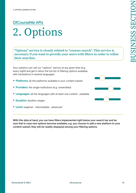**their searches.**

## OfCourseMe APIs 2. Options

**"Options" service is closely related to "courses search". This service is necessary if you want to provide your users with filters in order to refine** 

Your systems can call our "options" service at any given time (e.g. every night) and get in return the full list of filtering options available, with translations in several languages:

- **Platforms:** all the platforms available in your content subset
- **Providers:** the single institutions (e.g. universities)
- **Languages:** all the languages with at least one content available
- **Duration:** duration ranges
- **Level:** beginner intermediate advanced

**With this data at hand, you can have filters implemented right below your search bar and be sure that in case new options become available, e.g. you choose to add a new platform to your content subset, they will be readily displayed among your filtering options.**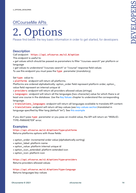# **Options**

Please find below the key basic information in order to get started, for developers

#### **Description**

#### Call endpoint: **https://api.ofcourse.me/v2.0/option**

This endpoint is useful to:

• get values which should be passed as parameters to filter "/courses-search" per platform or language

• get values to understand "/courses-search" or "/course" response field values To use this endpoint you must pass the **type** parameter (mandatory).

Set **type** value to:

• **platforms** endpoint will return all platforms.

Platforms are ordered alphabetically: option\_order field represent platform order, option\_ value field represent an internal unique id

• **providers**: endpoint will return all providers allowed values (strings)

• **languages:** endpoint will return all the languages (two-character) value for which there is at least one course in the database. Use the [Key Values](https://developers.ofcourse.me/doc/v2.0#section-11) chapter to understand the corresponding language.

• **translations\_languages**: endpoint will return all languages available to translate API content.

• **translations**: endpoint will return all key-values (see [key-values section](https://developers.ofcourse.me/doc/v2.0#section-11))translated in language specified by filter lang (default "en"). See [this example](https://developers.ofcourse.me/doc/v2.0#before_option_translation_example)

If you don't pass **type** parameter or you pass an invalid value, the API will return an "INVALID-TYPE-PARAMETER" error.

#### **Examples:**

**https://api.ofcourse.me/v2.0/options?type=platforms** Returns platforms options with those fields:

- option\_order: incremental order value (alphabetically sorting)
- option\_label: platform name
- option\_value: platform internal unique id
- option\_icon\_extended: platform extended icon
- option\_icon: platform icon

**https://api.ofcourse.me/v2.0/options?type=providers** Returns providers allowed values

**https://api.ofcourse.me/v2.0/options?type=language** Returns languages key-values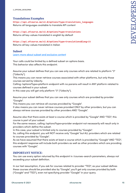#### **Translations Examples**

**https://api.ofcourse.me/v2.0/options?type=translations\_languages** Returns all languages available to translate API content

**https://api.ofcourse.me/v2.0/options?type=translations** Returns all key-values translated in english by default

**https://api.ofcourse.me/v2.0/options?type=translations&lang=it** Returns all key-values translated in italian

#### **Subset**

[Learn more about subset and exclusive content](https://developers.ofcourse.me/doc/v2.0#section-3)

Your calls could be limited by a defined subset on options basis. This behavior also affects this endpoint.

Assume your subset defines that you can see only courses which are related to platform "3" ("Udacity").

This means you can never retrieve courses associated with other platforms, but only those courses served by Udacity.

Calling /options?type=platform endpoint with no params will result in ANY platform related to courses defined in your subset.

In this case you will get only platform "3" ("Udacity").

Assume your subset defines that you can see only courses which are provided by provider "Google".

This means you can retrieve all courses provided by "Google".

It also means you can never retrieve courses provided ONLY by other providers, but you can always retrieve courses provided by other providers AND "Google".

Assume also that there exists at least a course which is provided by "Google" AND "TED", this course is part of your subset.

For the same reason, calling /options?type=provider endpoint not necessarily will result only in providers which define the subset.

In this case, your subset is limited only to courses provided by "Google".

So, calling this endpoint, you will NOT receive only "Google" but ALL providers which are related to courses provided by "Google".

As we have assumed that there exists at least a course which is provided by "Google" AND "TED", this endpoint response will include both providers as well as other providers which are providing courses with "Google".

#### **IMPORTANT NOTICE:**

You can use every option returned by this endpoint in /courses-search parameters, always not exceeding your subset definition.

In our last assumption, if you ask for courses related to provider "TED", as your subset defines these courses should be provided also by "Google", you'll get only courses provided by both ("Google" and "TED"), even not specifying provider "Google" in your query.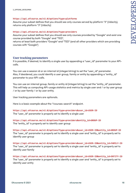#### **https://api.ofcourse.me/v2.0/options?type=platforms**

Assume your subset defines that you should see only courses served by platform "3" (Udacity), returns only platform "3" (Udacity)

#### **https://api.ofcourse.me/v2.0/options?type=providers**

Assume your subset defines that you should see only courses provided by "Google" and exist one course provided by both "Google" and "TED",

returns at least both providers "Google" and "TED" (and all other providers which are providing courses with "Google")

#### **User tracking parameters**

It is possible, if desired, to identify a single user by appending a "user\_id" parameter to your APIcalls.

You can use a session id or an internal id (integer/string) to set the "user\_id" parameter. Also, if desidered, you could identify a user group, family or entity by appending a "entity\_id" parameter to your API-calls.

You can use an internal group, family or entity id (integer/string) to set the "entity\_id" parameter. This will help us computing API-usage statistics and metrics by single user and / or by user group / or by user family / or by user entity.

User tracking parameters are optionals.

Here is a basic example about the "/courses-search" endpoint.

**https://api.ofcourse.me/v2.0/options?type=providers&user\_id=USER-ID** The "user\_id" parameter is properly set to identify a single user

**https://api.ofcourse.me/v2.0/options?type=providers&entity\_id=GROUP-ID** The "entity\_id" is properly set to identify user group

**https://api.ofcourse.me/v2.0/options?type=providers&user\_id=USER-ID&entity\_id=GROUP-ID** The "user\_id" parameter is properly set to identify a single user and "entity\_id" is properly set to identify user group

**https://api.ofcourse.me/v2.0/options?type=providers&user\_id=USER-ID&entity\_id=FAMILY-ID** The "user\_id" parameter is properly set to identify a single user and "entity\_id" is properly set to identify user family

**https://api.ofcourse.me/v2.0/options?type=providers&user\_id=USER-ID&entity\_id=ENTITY-ID** The "user\_id" parameter is properly set to identify a single user and "entity\_id" is properly set to identify user entity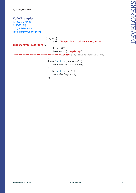#### **Code Examples**

[JS \(jQuery AJAX\)](https://developers.ofcourse.me/doc/v2.0#tab-js) [PHP \(CURL\)](https://developers.ofcourse.me/doc/v2.0#tab-php) [C# \(WebRequest\)](https://developers.ofcourse.me/doc/v2.0#tab-c) [Java \(HttpUrlConnection\)](https://developers.ofcourse.me/doc/v2.0#tab-java)

| $$. a$ jax $($                                                                                  |  |  |
|-------------------------------------------------------------------------------------------------|--|--|
| url: "https://api.ofcourse.me/v2.0/                                                             |  |  |
| options?type=platforms",                                                                        |  |  |
| type: GET,                                                                                      |  |  |
| headers: {"x-api-key":                                                                          |  |  |
| **********************************IcAuSy"}                               // insert your API Key |  |  |
| $\}$ )                                                                                          |  |  |
| $done(function(response)$ {                                                                     |  |  |
| console.log(response);                                                                          |  |  |
| $\}$ )                                                                                          |  |  |
| $. fail(function(err)$ {                                                                        |  |  |
| console.log(err);                                                                               |  |  |
| });                                                                                             |  |  |
|                                                                                                 |  |  |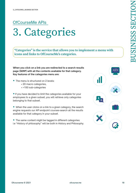## OfCourseMe APIs 3. Categories

**"Categories" is the service that allows you to implement a menu with icons and links to OfCourseMe's categories.**

**When you click on a link you are redirected to a search results page (SERP) with all the contents available for that category. Key features of the categories menu are:**

- The menu is structured on 2 levels:
	- 20 macro categories,
	- >150 sub-categories

•If you have decided to limit the categories available for your employees to a given subset, you will retrieve only categories belonging to that subset.

• When the user clicks on a link to a given category, the search engine requests our API endpoint courses-search all the results available for that category in your subset.

• The same content might be tagged in different categories: i.e "History of philosophy" will be both in History and Philosophy.

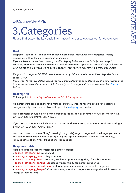# 3.Categories

Please find below the key basic information in order to get started, for developers

#### **Goal**

Endpoint "/categories" is meant to retrieve more details about ALL the categories (topics) associated with at least one course in your subset.

*If your subset includes "web development" category but does not include "game design" category, and there is one course about "web developmen" applied to "game design" which is in your subset and is associated to both, endpoint "/categories" will retrieve details about both.*

*Endpoint "/categories" IS NOT meant to retrieve by default details about the categories in your subset ONLY.*

*If you want to retrieve details about your selected categories only, please use the list of categories*  in your subset as a filter in your call to the endpoint "/categories". See details in section "[Subset"](https://developers.ofcourse.me/doc/v2.0#subset-categories) *below.*

#### **Description**

Call endpoint **https://api.ofcourse.me/v2.0/categories**.

No parameters are needed for this method, but if you want to receive details for a selected categories only then you are allowed to pass the category parameter.

This parameter should be filled with categories ids divided by comma or you'll get the "INVALID-CATEGORIES-IDS-PARAMETER" error.

If you pass a category id which does not correspond to any categories in our database, you'll get a "NO-CATEGORIES-FOUND" error.

You can pass a parameter "lang" (two digit lang code) to get categories in the language needed. You can obtain available languages quering the "option" endpoint with type "translations\_ languages" (/options?type=translations\_languages)

#### **Response fields**

Here are listed all response fields for a single category

- **course\_category\_id**: category id
- **course\_category\_name**: category name
- **course\_category\_level**: category level (0 for parent categories, 1 for subcategories)
- **course** category parent id: category parent id (0 for parent categories)
- **course\_category\_parent\_name**: category parent name (null for parent categories)

• **course\_category\_image**:OfCourseMe image for this category (subcategories will have same image of their parent).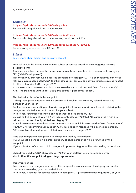#### **Examples https://api.ofcourse.me/v2.0/categories** Returns all categories related to your subset

**https://api.ofcourse.me/v2.0/categories?lang=it** Returns all categories related to your subset, translated in italian

#### **https://api.ofcourse.me/v2.0/categories?category=119,130**

Returns categories which id is 119 and 130

#### **Subset**

[Learn more about subset and exclusive content](https://developers.ofcourse.me/doc/v2.0#section-3)

Your calls could be limited by a defined subset of courses based on the categories they are associated with.

Assume your subset defines that you can access only to contents which are related to category "22" ("Web Development").

This means you can retrieve all courses associated to category "22"; It also means you can never retrieve courses associated ONLY to other categories, but you can always retrieve courses related to other categories AND category "22".

Assume also that there exists at least a course which is associated with "Web Development" ("22") AND "Programming Languages" ("23"), this course is part of your subset.

This behavior also affects this endpoint.

Calling /categories endpoint with no params will result in ANY category related to courses defined in your subset.

For the same reason, calling /categories endpoint will not necessarily result only in retrieving the categories selected in order to determine your subset.

In this case, your subset is limited only to courses related category "22".

So, calling this endpoint, you will NOT receive only category "22" but ALL categories which are related to courses directly related to category "22".

As we have assumed that there exists at least a course which is associated to "Web Development" ("22") AND "Programming Languages" ("23"), this endpoint response will also include category "23" as well as other categories related to all courses in category "22".

Note also that parent categories are always returned by this endpoint.

If your subset is defined on a parent category all child categories will be returned by this endpoint.

If your subset is defined on a child category, its parent category will be returned by this endpoint.

Should you need to ONLY show category "22" in your platform using this endpoint, you should **filter this endpoint using a category parameter.**

#### **Important notice:**

You can use every category returned by this endpoint in /courses-search category parameter, always not exceeding your subset definition.

In this case, if you ask for courses related to category "23" ("Programming Languages"), as your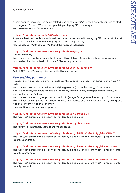subset defines these courses being related also to category ("22"), you'll get only courses related to category "22" and "23", even not specifying category "22" in your query. See below examples for more detail.

#### **https://api.ofcourse.me/v2.0/categories**

As your subset defines that you should see only courses related to category "22" and exist at least one course which is related to category "22" AND category "23", returns category "22", category "23" and their parent categories

#### **https://api.ofcourse.me/v2.0/categories?category=22**

Returns category 22 You can prevent applying your subset to get all available OfCourseMe categories passing a parameter filter\_by\_subset with value 0. See example below.

#### **https://api.ofcourse.me/v2.0/categories?filter\_by\_subset=0**

Get all OfCourseMe categories not limited by your subset

#### **User tracking parameters**

It is possible, if desired, to identify a single user by appending a "user\_id" parameter to your APIcalls.

You can use a session id or an internal id (integer/string) to set the "user\_id" parameter. Also, if desidered, you could identify a user group, family or entity by appending a "entity\_id" parameter to your API-calls.

You can use an internal group, family or entity id (integer/string) to set the "entity\_id" parameter. This will help us computing API-usage statistics and metrics by single user and / or by user group / or by user family / or by user entity.

User tracking parameters are optionals.

#### **https://api.ofcourse.me/v2.0/categories?user\_id=USER-ID**

The "user\_id" parameter is properly set to identify a single user.

**https://api.ofcourse.me/v2.0/categories?entity\_id=GROUP-ID**

The "entity\_id" is properly set to identify user group.

**https://api.ofcourse.me/v2.0/categories?user\_id=USER-ID&entity\_id=GROUP-ID** The "user\_id" parameter is properly set to identify a single user and "entity\_id" is properly set to identify user group.

**https://api.ofcourse.me/v2.0/categories?user\_id=USER-ID&entity\_id=FAMILY-ID** The "user\_id" parameter is properly set to identify a single user and "entity\_id" is properly set to identify user family.

**https://api.ofcourse.me/v2.0/categories?user\_id=USER-ID&entity\_id=ENTITY-ID** The "user\_id" parameter is properly set to identify a single user and "entity\_id" is properly set to identify user entity.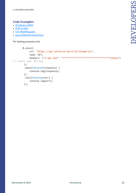#### **Code Examples**

- [JS \(jQuery AJAX\)](https://developers.ofcourse.me/doc/v2.0#tab-js)
- [PHP \(CURL\)](https://developers.ofcourse.me/doc/v2.0#tab-php)
- [C# \(WebRequest\)](https://developers.ofcourse.me/doc/v2.0#tab-c)
- [Java \(HttpUrlConnection\)](https://developers.ofcourse.me/doc/v2.0#tab-java)

For testing purpose only

```
 $.ajax({
              url: "https://api.ofcourse.me/v2.0/categories",
              type: GET,
             headers: {"x-api-key": "**********************************IcAuSy"} 
// insert your API Key
         })
         .done(function(response) {
              console.log(response);
         })
         .fail(function(err) {
              console.log(err);
         });
```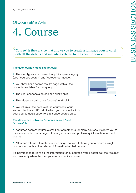## OfCourseMe APIs 4. Course

**"Course" is the service that allows you to create a full page course card, with all the details and metadata related to the specific course.** 

#### **The user journey looks like follows:**

- The user types a text search or picks up a category (see "courses search" and "categories" above).
- You show her a search results page with all the contents available for that query.
- The user chooses a course and clicks on it.
- This triggers a call to our "course" endpoint.
- We return all the details of the course (syllabus, author, destination URL etc.), which you can use to fill in your course detail page, i.e. a full page course card.

#### **The difference between "courses search" and "course" is:**

• "Courses search" returns a small set of metadata for many courses: it allows you to create a search results page with many courses and preliminary information for each course

• "Course" returns full metadata for a single course: it allows you to create a single course card, with all the relevant information for that course

It's pointless to retrieve all the information for all courses: you'd better call the "course" endpoint only when the user picks up a specific course.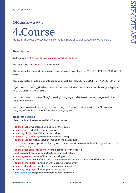

Please find below the key basic information in order to get started, for developers

#### **Description**

#### Call endpoint **https://api.ofcourse.me/v2.0/course**

You must pass the **course** id parameter.

This parameter is mandatory to use this endpoint or you'll get the "NO-COURSE-ID-PARAMETER" error.

This parameter should be an integer or you'll get the "INVALID-COURSE-ID-PARAMETER" error.

If you pass a "course\_id" which does not correspond to a course in our database, you'll get an "NO-COURSE-FOUND" error.

You can pass a parameter "lang" (two digit language code) to get course categories in the language needed.

You can obtain available languages querying the "option" endpoint with type "translations\_ languages" (/options?type=translations\_languages)

#### **Response Fields**

Here are listed the response fields for the course:

- **course\_id**: OfCourseMe unique ID of the course
- **course\_url**: url of the course (string)
- **course\_title**: title of the course (string)
- **course\_syllabus**: syllabus of the course (string)
- **course\_image**: high resolution image of the course (url). In case no image is provided for a given course, we will serve a fallback image related to that
- course's category
- **course** hosting platform: hosting platform of the course. Call endpoint /options to understand returned values
- **course\_owner**: owner of the course (string array)
- **course\_level**: level of the course. See [Key Values](https://developers.ofcourse.me/doc/v2.0#section-11) chapter to understand returned values.
- **course\_provider:** provider of the course (string array)
- **course\_duration**: duration of the course (minutes)
- **course\_languages**: languages of the course. See [Key Values](https://developers.ofcourse.me/doc/v2.0#section-11) chapter to understand returned values.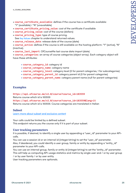- **course\_certificate\_available**: defines if the course has a certificate available: "Y" (available) / "N" (unavailable)
- **course\_certificate\_pricing\_value**: cost of the certificate if available
- **course\_pricing\_value**: cost of the course (dollars)
- **course\_pricing\_type**: type of course pricing. See [Key Values](https://developers.ofcourse.me/doc/v2.0#section-11) chapter to understand returned values.
- **course\_release\_date**: release date of the course (date)

• **course\_active**: defines if the course is still available on the hosting platform: "Y" (active), "N" (inactive).

• **course\_last\_import**: OfCourseMe last course data import (date)

• **course\_categories**: an array of course categories (object array). Each category object will have these attributes:

- **course\_category\_id**: category id
- **course\_category\_name**: category name
- **course\_category\_level**: category level (0 for parent categories, 1 for subcategories)
- **course\_category\_parent\_id**: category parent id (0 for parent categories)
- **course\_category\_parent\_name**: category parent name (null for parent categories)

#### **Examples**

**https://api.ofcourse.me/v2.0/course?course\_id=183559** Returns course which id is 183559 **https://api.ofcourse.me/v2.0/course?course\_id=183559&lang=it** Returns course which id is 183559. Course categories are translated in Italian

#### **Subset**

[Learn more about subset and exclusive content](https://developers.ofcourse.me/doc/v2.0#section-3)

Your calls could be limited by a defined subset. This endpoint returns you the course only if it is part of your subset.

#### **User tracking parameters**

It is possible, if desired, to identify a single user by appending a "user\_id" parameter to your APIcalls.

You can use a session id or an internal id (integer/string) to set the "user\_id" parameter. Also, if desidered, you could identify a user group, family or entity by appending a "entity\_id" parameter to your API-calls.

You can use an internal group, family or entity id (integer/string) to set the "entity\_id" parameter. This will help us computing API-usage statistics and metrics by single user and / or by user group / or by user family / or by user entity.

User tracking parameters are optionals.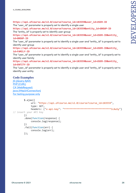**https://api.ofcourse.me/v2.0/course?course\_id=183559&user\_id=USER-ID** The "user\_id" parameter is properly set to identify a single user

**https://api.ofcourse.me/v2.0/course?course\_id=183559&entity\_id=GROUP-ID** The "entity\_id" is properly set to identify user group

**https://api.ofcourse.me/v2.0/course?course\_id=183559&user\_id=USER-ID&entity\_ id=GROUP-ID**

The "user\_id" parameter is properly set to identify a single user and "entity\_id" is properly set to identify user group

**https://api.ofcourse.me/v2.0/course?course\_id=183559&user\_id=USER-ID&entity\_ id=FAMILY-ID**

The "user\_id" parameter is properly set to identify a single user and "entity\_id" is properly set to identify user family

**https://api.ofcourse.me/v2.0/course?course\_id=183559&user\_id=USER-ID&entity\_ id=ENTITY-ID**

The "user\_id" parameter is properly set to identify a single user and "entity\_id" is properly set to identify user entity

#### **Code Examples**

```
JS (jQuery AJAX)
PHP (CURL)
C# (WebRequest)
Java (HttpUrlConnection)
For testing purpose only
          $.ajax({
              url: "https://api.ofcourse.me/v2.0/course?course_id=183559",
               type: GET,
```
headers: {"x-api-key": "\*\*\*\*\*\*\*\*\*\*\*\*\*\*\*\*\*\*\*\*\*\*\*\*\*\*\*\*\*\*\*\*\*\*IcAuSy"}

```
// insert your API Key
```

```
 })
 .done(function(response) {
      console.log(response);
 })
```

```
 .fail(function(err) {
      console.log(err);
```

```
 });
```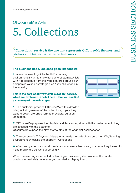## OfCourseMe APIs 5. Collections

**"Collections" service is the one that represents OfCourseMe the most and delivers the highest value to the final users.** 

#### The business need/use case goes like follows:

• When the user logs into the LMS / learning environment, I want to show her some custom playlists with free contents from the web, centered around our companies values / strategic plan / key challenges in the industry

#### This is the core of our "dynamic curation" service, which we explained in detail here. Here you can find a summary of the main steps:



1. The customer provides OfCourseMe with a detailed brief, including names of the collections, topics they want to cover, preferred format, providers, duration, languages

2. OfCourseMe prepares the playlists and iterates together with the customer until they are satisfied with the outcome

OfCourseMe expose the playlists via APIs at the endpoint "Collections"

**3.** The customer's IT / system integrator uploads the collections onto the LMS / learning environment by calling the endpoint "Collections"

4. After one quarter we look at the data – what users liked most, what else they looked for – and modify the playlists accordingly

When the user logs into the LMS / learning environment, she now sees the curated playlists immediately, wherever you decided to display them.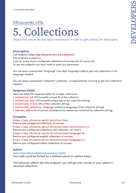# 5. Collections

Please find below the key basic information in order to get started, for developers

#### **Description**

Call endpoint **https://api.ofcourse.me/v2.0/collections** This endpoint is useful to:

• get an array of pre-configured collections of courses (list of course\_id)

To use this endpoint you don't need to pass any parameter.

You can pass a parameter "language" (two digit language code) to get only collections in the language needed.

You can pass a parameter "collection" (collection\_id separated by comma) to get only collections needed.

#### **Response Fields**

Here are listed the response fields for a single collections:

- **collection\_id**: OfCourseMe unique ID of the collection
- **collection key:** OfCourseMe unique key of the collection (string)
- **collection\_title**: title of the collection (string)
- **collection** audience language: audience language of the collection (string)
- **courses ids**: a list of course\_id (ordered by relevance) contained by collection (string)

#### **Examples**

**https://api.ofcourse.me/v2.0/collections** Returns pre-configured collections of courses **https://api.ofcourse.me/v2.0/collections?collection=1,2** Returns pre-configured collections with collection\_id 1 and 2 **https://api.ofcourse.me/v2.0/collections?language=en** Returns pre-configured english collections of courses **https://api.ofcourse.me/v2.0/collections?language=it** Returns pre-configured italian collections of courses

#### **Subset**

[Learn more about subset and exclusive content](https://developers.ofcourse.me/doc/v2.0#section-3) Your calls could be limited by a defined subset on options basis.

This behavior affects also this endpoint: you will get only courses in your subset in returned collections.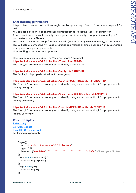#### **User tracking parameters**

It is possible, if desired, to identify a single user by appending a "user\_id" parameter to your APIcalls.

You can use a session id or an internal id (integer/string) to set the "user\_id" parameter. Also, if desidered, you could identify a user group, family or entity by appending a "entity\_id" parameter to your API-calls.

You can use an internal group, family or entity id (integer/string) to set the "entity\_id" parameter. This will help us computing API-usage statistics and metrics by single user and / or by user group / or by user family / or by user entity.

User tracking parameters are optionals.

Here is a basic example about the "/courses-search" endpoint. **https://api.ofcourse.me/v2.0/collections?&user\_id=USER-ID** The "user\_id" parameter is properly set to identify a single user

**https://api.ofcourse.me/v2.0/collections?entity\_id=GROUP-ID** The "entity\_id" is properly set to identify user group

#### **https://api.ofcourse.me/v2.0/collections?user\_id=USER-ID&entity\_id=GROUP-ID**

The "user\_id" parameter is properly set to identify a single user and "entity\_id" is properly set to identify user group

#### **https://api.ofcourse.me/v2.0/collections?&user\_id=USER-ID&entity\_id=FAMILY-ID**

The "user\_id" parameter is properly set to identify a single user and "entity\_id" is properly set to identify user family

#### **https://api.ofcourse.me/v2.0/collections?user\_id=USER-ID&entity\_id=ENTITY-ID**

The "user\_id" parameter is properly set to identify a single user and "entity\_id" is properly set to identify user entity

#### **Code Examples**

[PHP \(CURL\)](https://developers.ofcourse.me/doc/v2.0#tab-php) [C# \(WebRequest\)](https://developers.ofcourse.me/doc/v2.0#tab-c) [Java \(HttpUrlConnection\)](https://developers.ofcourse.me/doc/v2.0#tab-java) For testing purpose only

```
 $.ajax({
    url: "https://api.ofcourse.me/v2.0/collections",
    type: GET,
    headers: {"x-api-key": "**********************************IcAuSy"} // insert your API Key
 })
 .done(function(response) {
    console.log(response);
 })
 .fail(function(err) {
    console.log(err);
 });
```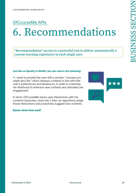# 6. Recommendations

**"Recommendation" service is a powerful tool to deliver automatically a custom learning experience to each single user.**

#### Just like on Spotify or Netflix, the use case is the following:

• I want to provide the user with a section "courses you might also like" which displays contents in line with that user's preferences and behaviours, in order to maximize her likelihood to embrace new contents and ultimately her engagement

In short, OfCourseMe tracks user interactions with the contents (searches, clicks etc.), then our algorithms weigh those interactions and proactively suggest new contents.

#### Easier done than said!

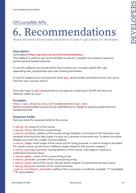# 6. Recommendations

Please find below the key basic information in order to get started, for developers

#### **Description**

#### Call endpoint **https://api.ofcourse.me/v2.0/recommendations**

This endpoint is useful to get recommended courses for a specific user based on previous performed and tracked searches.

To use this endpoint you should before have tracked your /courses-search API-calls appending **user\_id** parameter (see User tracking parameters

To use this endpoint you must pass the same **user\_id** parameter (mandatory) which you use to track the user /courses-search

If you don't pass a **user\_id** parameter or you pass an invalid value, the API will return an "INVALID-USER-ID" error.

#### **Examples**

#### **https://api.ofcourse.me/v2.0/recommendations?user\_id=1**

Returns recommended courses for user identified by id 1 based on previous performed and tracked searches

#### **Response Fields**

Here are listed the response fields for the course:

- **course\_id**: unique ID of the course
- **course\_title**: title of the course (string)
- **course\_syllabus**: syllabus of the course (string). Syllabus is truncated at 140 characters and sanitized removing html tags inside it to give you a preview of the entire text. To obtain the entire syllabus you must call a single /course endpoint.

• **course\_image**: small image of the course (url) for listing purpose. In case no image is provided for a given course, we will serve a fallback image related to that course's category

• **course\_hosting\_platform**: hosting platform of the course. Call endpoint /options to understand returned values

- **course\_owner:** owner of the course (string array)
- **course\_provider**: provider of the course (string array)
- **course\_level**: level of the course. See [Key Values](https://developers.ofcourse.me/doc/v2.0#section-11) chapter to understand returned values.
- **course\_duration**: duration of the course (minutes)

• **course\_certificate\_available**: defines if the course has a certificate available: "Y" (available)

/ "N" (unavailable)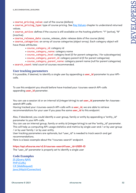- **course\_pricing\_value**: cost of the course (dollars)
- **course\_pricing\_type**: type of course pricing. See [Key Values](https://developers.ofcourse.me/doc/v2.0#section-11) chapter to understand returned values.

• **course\_active**: defines if the course is still available on the hosting platform: "Y" (active), "N" (inactive).

• **course\_release\_date**: course\_release\_date: release date of the course (date)

• **course\_categories**: an array of course categories (object array). Each category object will have these attributes:

- course\_category\_id: category id
- course\_category\_name: category name
- course\_category\_level: category level (0 for parent categories, 1 for subcategories)
- course\_category\_parent\_id: category parent id (0 for parent categories)
- course\_category\_parent\_name: category parent name (null for parent categories)

• **search\_count**: total count of courses recommended.

#### **User tracking parameters**

It is possible, if desired, to identify a single user by appending a **user\_id** parameter to your APIcalls.

To use this endpoint you should before have tracked your /courses-search API-calls appending **user\_id** parameter.

You can use a session id or an internal id (integer/string) to set **user\_id** *parameter for /coursessearch API-calls.*

Having tracked your /courses-search API-calls with a **user\_id**, we are able to retrieve recommendations for your user if you pass the same **user\_id** to this endpoint.

Also, if desidered, you could identify a user group, family or entity by appending a "entity\_id" parameter to your API-calls.

You can use an internal group, family or entity id (integer/string) to set the "entity\_id" parameter. This will help us computing API-usage statistics and metrics by single user and / or by user group / or by user family / or by user entity.

User tracking parameters are optionals, but "user\_id" is needed to track search and get recommendations.

Here is a basic example about the "/courses-search" endpoint.

#### **https://api.ofcourse.me/v2.0/courses-search?user\_id=USER-ID**

The "user\_id" parameter is properly set to identify a single user

#### **Code Examples**

[JS \(jQuery AJAX\)](https://developers.ofcourse.me/doc/v2.0#tab-js) [PHP \(CURL\)](https://developers.ofcourse.me/doc/v2.0#tab-php) [C# \(WebRequest\)](https://developers.ofcourse.me/doc/v2.0#tab-c) [Java \(HttpUrlConnection\)](https://developers.ofcourse.me/doc/v2.0#tab-java)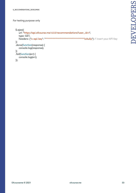#### For testing purpose only

```
 $.ajax({
   url: "https://api.ofcourse.me/v2.0/recommendations?user_id=1",
    type: GET,
   headers: {"x-api-key": "**********************************IcAuSy"} // insert your API Key
 })
 .done(function(response) {
    console.log(response);
 })
 .fail(function(err) {
    console.log(err);
 });
```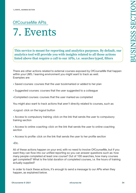## OfCourseMe APIs 7. Events

**This service is meant for reporting and analytics purposes. By default, our analytics tool will provide you with insights related to all those actions listed above that require a call to our APIs, i.e. searches typed, filters** 

There are other actions related to external courses exposed by OfCourseMe that happen within your LMS / learning environment you might want to track as well. Examples are:

- Saved courses: courses that the user bookmarked or added to her plan
- Suggested courses: courses that the user suggested to a colleague
- •Completed courses: courses that the user marked as completed

You might also want to track actions that aren't directly related to courses, such as:

•Logout: click on the logout button

• Access to compulsory training: click on the link that sends the user to compulsory training section

• Access to online coaching: click on the link that sends the user to online coaching section

- Access to profile: click on the link that sends the user to her profile section
- •Etc.

All of these actions happen on your end, with no need to involve OfCourseMe, but if you want they can flow into our unified reporting so you can answer questions such as: how many people completed at least one course? Out of 100 searches, how many courses get completed? What is the total duration of completed courses, i.e. the hours of training actually supplied?

In order to track these actions, it's enough to send a message to our APIs when they happen, as explained below.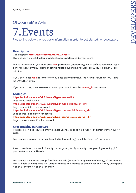

Please find below the key basic information in order to get started, for developers

#### **Description**

#### Call endpoint **https://api.ofcourse.me/v2.0/events**

This endpoint is useful to log important events performed by your users.

To use this endpoint you must pass **type** parameter (mandatory) which defines your event type: general events ("menu-click") or course related events (e.g "course-click","course-save",.. ) are admitted

If you don't pass **type** parameter or you pass an invalid value, the API will return an "NO-TYPE-PARAMETER" error.

If you want to log a course related event you should pass the **course\_id** parameter

#### **Examples https://api.ofcourse.me/v2.0/events?type=menu-click** Logs menu-click action **https://api.ofcourse.me/v2.0/events?type=menu-click&user\_id=1** Logs menu-click action for user 1 **https://api.ofcourse.me/v2.0/events?type=course-click&course\_id=1** Logs course-click action for course 1 **https://api.ofcourse.me/v2.0/events?type=course-save&course\_id=1** Logs course-save action for course 1

#### **User tracking parameters**

It is possible, if desired, to identify a single user by appending a "user\_id" parameter to your APIcalls.

You can use a session id or an internal id (integer/string) to set the "user\_id" parameter.

Also, if desidered, you could identify a user group, family or entity by appending a "entity\_id" parameter to your API-calls.

You can use an internal group, family or entity id (integer/string) to set the "entity\_id" parameter. This will help us computing API-usage statistics and metrics by single user and / or by user group / or by user family / or by user entity.